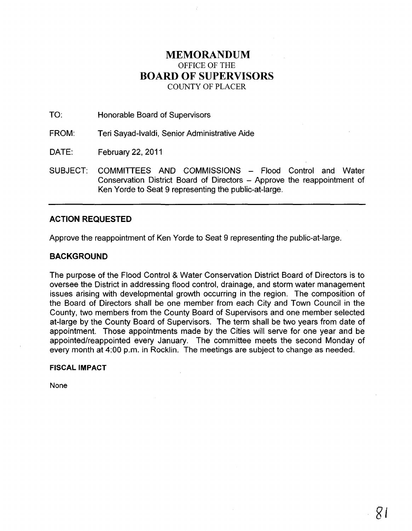# **MEMORANDUM**  OFFICE OF THE **BOARD OF SUPERVISORS**  COUNTY OF PLACER

TO: Honorable Board of Supervisors

FROM: Teri Sayad-Ivaldi, Senior Administrative Aide

DATE: February 22, 2011

SUBJECT: COMMITTEES AND COMMISSIONS - Flood Control and Water Conservation District Board of Directors - Approve the reappointment of Ken Yorde to Seat 9 representing the public-at-Iarge.

# **ACTION REQUESTED**

Approve the reappointment of Ken Yorde to Seat 9 representing the public-at-Iarge.

# **BACKGROUND**

The purpose of the Flood Control & Water Conservation District Board of Directors is to oversee the District in addressing flood control, drainage, and storm water management issues arising with developmental growth occurring in the region. The composition of the Board of Directors shall be one member from each City and Town Council in the County, two members from the County Board of Supervisors and one member selected at-large by the County Board of Supervisors. The term shall be two years from date of appointment. Those appointments made by the Cities will serve for one year and be appointed/reappointed every January. The committee meets the second Monday of every month at 4:00 p.m. in Rocklin. The meetings are subject to change as needed.

# **FISCAL IMPACT**

None